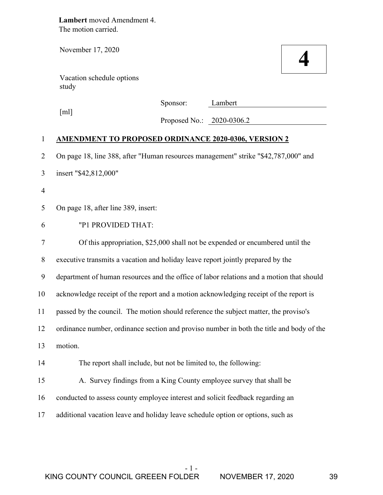**Lambert** moved Amendment 4. The motion carried.

| November 17, 2020 |  |  |
|-------------------|--|--|
|-------------------|--|--|

November 17, 2020 **4** 

|       | Vacation schedule options |
|-------|---------------------------|
| study |                           |

|              | Sponsor:                                                                                 | Lambert                   |
|--------------|------------------------------------------------------------------------------------------|---------------------------|
|              | $\lceil m \rceil$                                                                        | Proposed No.: 2020-0306.2 |
| $\mathbf{1}$ | <b>AMENDMENT TO PROPOSED ORDINANCE 2020-0306, VERSION 2</b>                              |                           |
| 2            | On page 18, line 388, after "Human resources management" strike "\$42,787,000" and       |                           |
| 3            | insert "\$42,812,000"                                                                    |                           |
| 4            |                                                                                          |                           |
| 5            | On page 18, after line 389, insert:                                                      |                           |
| 6            | "P1 PROVIDED THAT:                                                                       |                           |
| 7            | Of this appropriation, \$25,000 shall not be expended or encumbered until the            |                           |
| $8\,$        | executive transmits a vacation and holiday leave report jointly prepared by the          |                           |
| 9            | department of human resources and the office of labor relations and a motion that should |                           |
| 10           | acknowledge receipt of the report and a motion acknowledging receipt of the report is    |                           |
| 11           | passed by the council. The motion should reference the subject matter, the proviso's     |                           |
| 12           | ordinance number, ordinance section and proviso number in both the title and body of the |                           |
| 13           | motion.                                                                                  |                           |
| 14           | The report shall include, but not be limited to, the following:                          |                           |
| 15           | A. Survey findings from a King County employee survey that shall be                      |                           |
| 16           | conducted to assess county employee interest and solicit feedback regarding an           |                           |
| 17           | additional vacation leave and holiday leave schedule option or options, such as          |                           |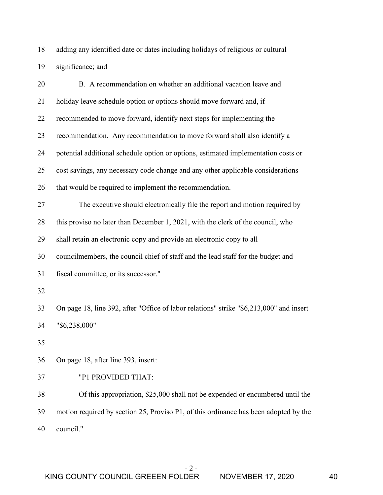18 adding any identified date or dates including holidays of religious or cultural 19 significance; and

| 20 | B. A recommendation on whether an additional vacation leave and                         |
|----|-----------------------------------------------------------------------------------------|
| 21 | holiday leave schedule option or options should move forward and, if                    |
| 22 | recommended to move forward, identify next steps for implementing the                   |
| 23 | recommendation. Any recommendation to move forward shall also identify a                |
| 24 | potential additional schedule option or options, estimated implementation costs or      |
| 25 | cost savings, any necessary code change and any other applicable considerations         |
| 26 | that would be required to implement the recommendation.                                 |
| 27 | The executive should electronically file the report and motion required by              |
| 28 | this proviso no later than December 1, 2021, with the clerk of the council, who         |
| 29 | shall retain an electronic copy and provide an electronic copy to all                   |
| 30 | councilmembers, the council chief of staff and the lead staff for the budget and        |
| 31 | fiscal committee, or its successor."                                                    |
| 32 |                                                                                         |
| 33 | On page 18, line 392, after "Office of labor relations" strike "\$6,213,000" and insert |
| 34 | "\$6,238,000"                                                                           |
| 35 |                                                                                         |
| 36 | On page 18, after line 393, insert:                                                     |
| 37 | "P1 PROVIDED THAT:                                                                      |
| 38 | Of this appropriation, \$25,000 shall not be expended or encumbered until the           |
| 39 | motion required by section 25, Proviso P1, of this ordinance has been adopted by the    |
| 40 | council."                                                                               |